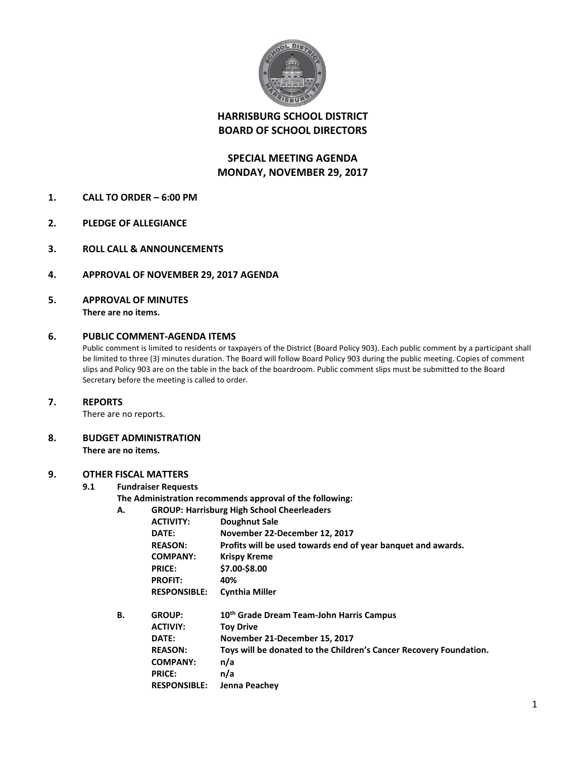

# **HARRISBURG SCHOOL DISTRICT BOARD OF SCHOOL DIRECTORS**

# **SPECIAL MEETING AGENDA MONDAY, NOVEMBER 29, 2017**

- **1. CALL TO ORDER – 6:00 PM**
- **2. PLEDGE OF ALLEGIANCE**
- **3. ROLL CALL & ANNOUNCEMENTS**
- **4. APPROVAL OF NOVEMBER 29, 2017 AGENDA**
- **5. APPROVAL OF MINUTES There are no items.**

### **6. PUBLIC COMMENT-AGENDA ITEMS**

Public comment is limited to residents or taxpayers of the District (Board Policy 903). Each public comment by a participant shall be limited to three (3) minutes duration. The Board will follow Board Policy 903 during the public meeting. Copies of comment slips and Policy 903 are on the table in the back of the boardroom. Public comment slips must be submitted to the Board Secretary before the meeting is called to order.

### **7. REPORTS**

There are no reports.

**8. BUDGET ADMINISTRATION There are no items.**

# **9. OTHER FISCAL MATTERS**

### **9.1 Fundraiser Requests**

- **The Administration recommends approval of the following:**
- **A. GROUP: Harrisburg High School Cheerleaders**

| А. | GROUP: Harrisburg High School Cheerleaders |                                                                    |  |
|----|--------------------------------------------|--------------------------------------------------------------------|--|
|    | <b>ACTIVITY:</b>                           | Doughnut Sale                                                      |  |
|    | DATE:                                      | November 22-December 12, 2017                                      |  |
|    | <b>REASON:</b>                             | Profits will be used towards end of year banquet and awards.       |  |
|    | <b>COMPANY:</b>                            | <b>Krispy Kreme</b>                                                |  |
|    | <b>PRICE:</b>                              | \$7.00-\$8.00                                                      |  |
|    | <b>PROFIT:</b>                             | 40%                                                                |  |
|    | <b>RESPONSIBLE:</b>                        | <b>Cynthia Miller</b>                                              |  |
| В. | <b>GROUP:</b>                              | 10 <sup>th</sup> Grade Dream Team-John Harris Campus               |  |
|    | <b>ACTIVIY:</b>                            | <b>Toy Drive</b>                                                   |  |
|    | DATE:                                      | November 21-December 15, 2017                                      |  |
|    | <b>REASON:</b>                             | Toys will be donated to the Children's Cancer Recovery Foundation. |  |
|    | <b>COMPANY:</b>                            | n/a                                                                |  |
|    | <b>PRICE:</b>                              | n/a                                                                |  |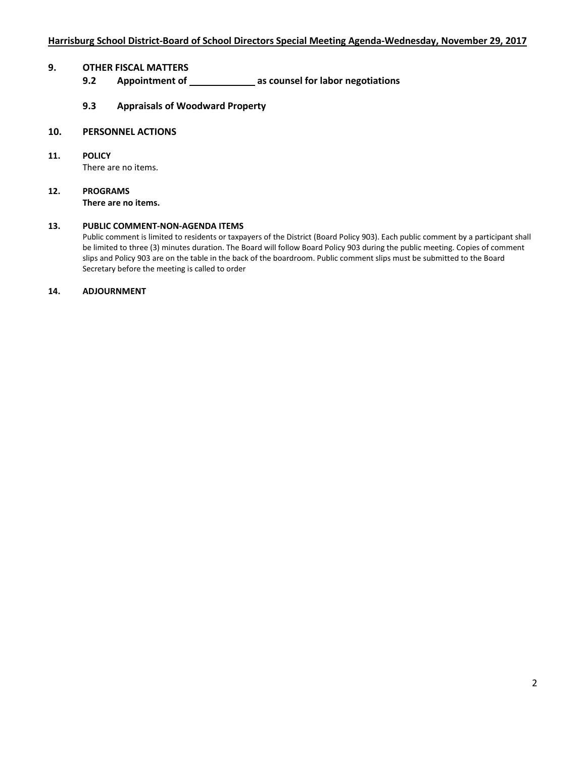## **9. OTHER FISCAL MATTERS**

- **9.2 Appointment of \_\_\_\_\_\_\_\_\_\_\_\_\_\_\_\_ as counsel for labor negotiations**
- **9.3 Appraisals of Woodward Property**

#### **10. PERSONNEL ACTIONS**

- **11. POLICY** There are no items.
- **12. PROGRAMS There are no items.**

#### **13. PUBLIC COMMENT-NON-AGENDA ITEMS**

Public comment is limited to residents or taxpayers of the District (Board Policy 903). Each public comment by a participant shall be limited to three (3) minutes duration. The Board will follow Board Policy 903 during the public meeting. Copies of comment slips and Policy 903 are on the table in the back of the boardroom. Public comment slips must be submitted to the Board Secretary before the meeting is called to order

#### **14. ADJOURNMENT**